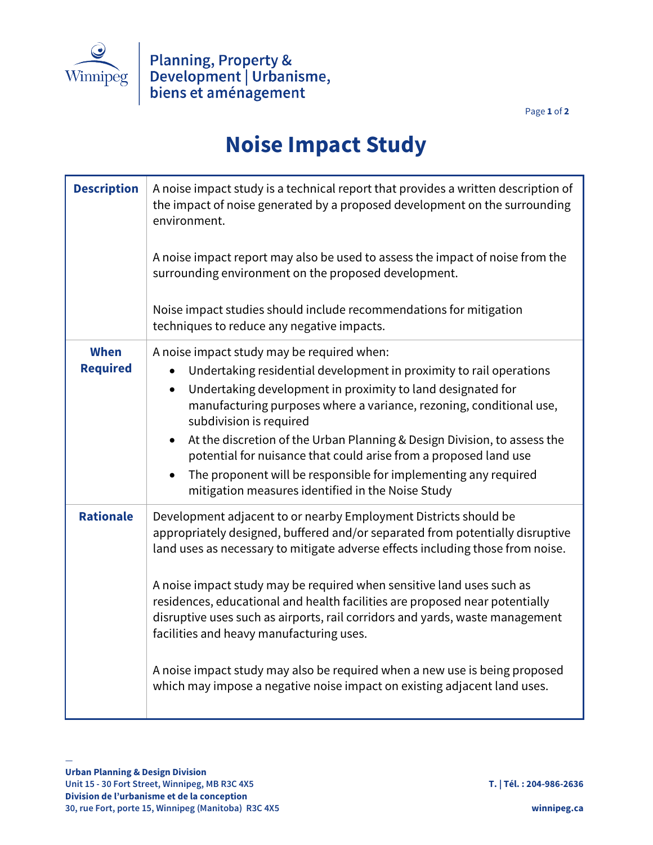

Page **1** of **2**

## **Noise Impact Study**

| <b>Description</b>             | A noise impact study is a technical report that provides a written description of<br>the impact of noise generated by a proposed development on the surrounding<br>environment.<br>A noise impact report may also be used to assess the impact of noise from the<br>surrounding environment on the proposed development.<br>Noise impact studies should include recommendations for mitigation<br>techniques to reduce any negative impacts.                                                                                                                                                                                                                                      |
|--------------------------------|-----------------------------------------------------------------------------------------------------------------------------------------------------------------------------------------------------------------------------------------------------------------------------------------------------------------------------------------------------------------------------------------------------------------------------------------------------------------------------------------------------------------------------------------------------------------------------------------------------------------------------------------------------------------------------------|
| <b>When</b><br><b>Required</b> | A noise impact study may be required when:<br>Undertaking residential development in proximity to rail operations<br>Undertaking development in proximity to land designated for<br>$\bullet$<br>manufacturing purposes where a variance, rezoning, conditional use,<br>subdivision is required<br>At the discretion of the Urban Planning & Design Division, to assess the<br>potential for nuisance that could arise from a proposed land use<br>The proponent will be responsible for implementing any required<br>$\bullet$<br>mitigation measures identified in the Noise Study                                                                                              |
| <b>Rationale</b>               | Development adjacent to or nearby Employment Districts should be<br>appropriately designed, buffered and/or separated from potentially disruptive<br>land uses as necessary to mitigate adverse effects including those from noise.<br>A noise impact study may be required when sensitive land uses such as<br>residences, educational and health facilities are proposed near potentially<br>disruptive uses such as airports, rail corridors and yards, waste management<br>facilities and heavy manufacturing uses.<br>A noise impact study may also be required when a new use is being proposed<br>which may impose a negative noise impact on existing adjacent land uses. |

—